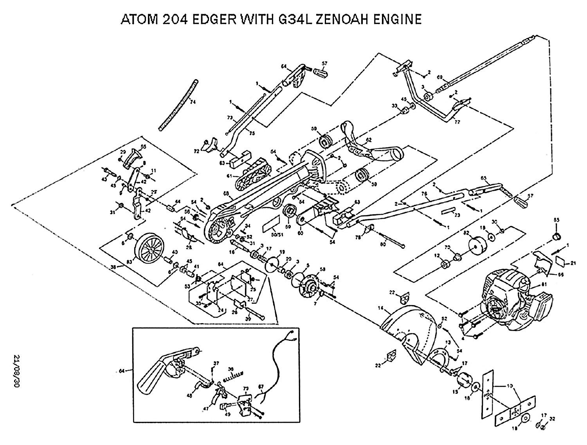## ATOM 204 EDGER WITH G34L ZENOAH ENGINE